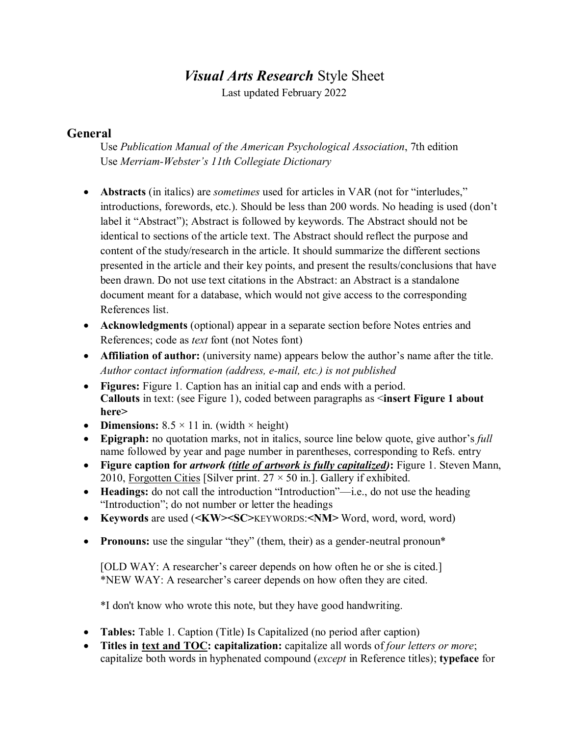# *Visual Arts Research* Style Sheet

Last updated February 2022

## **General**

Use *Publication Manual of the American Psychological Association*, 7th edition Use *Merriam-Webster's 11th Collegiate Dictionary*

- **Abstracts** (in italics) are *sometimes* used for articles in VAR (not for "interludes," introductions, forewords, etc.). Should be less than 200 words. No heading is used (don't label it "Abstract"); Abstract is followed by keywords. The Abstract should not be identical to sections of the article text. The Abstract should reflect the purpose and content of the study/research in the article. It should summarize the different sections presented in the article and their key points, and present the results/conclusions that have been drawn. Do not use text citations in the Abstract: an Abstract is a standalone document meant for a database, which would not give access to the corresponding References list.
- **Acknowledgments** (optional) appear in a separate section before Notes entries and References; code as *text* font (not Notes font)
- **Affiliation of author:** (university name) appears below the author's name after the title. *Author contact information (address, e-mail, etc.) is not published*
- **Figures:** Figure 1. Caption has an initial cap and ends with a period. **Callouts** in text: (see Figure 1), coded between paragraphs as <**insert Figure 1 about here>**
- **Dimensions:**  $8.5 \times 11$  in. (width  $\times$  height)
- **Epigraph:** no quotation marks, not in italics, source line below quote, give author's *full* name followed by year and page number in parentheses, corresponding to Refs. entry
- **Figure caption for** *artwork (title of artwork is fully capitalized)***:** Figure 1. Steven Mann, 2010, Forgotten Cities [Silver print.  $27 \times 50$  in.]. Gallery if exhibited.
- **Headings:** do not call the introduction "Introduction"—i.e., do not use the heading "Introduction"; do not number or letter the headings
- **Keywords** are used (**<KW><SC>**KEYWORDS:**<NM>** Word, word, word, word)
- **Pronouns:** use the singular "they" (them, their) as a gender-neutral pronoun\*

[OLD WAY: A researcher's career depends on how often he or she is cited.] \*NEW WAY: A researcher's career depends on how often they are cited.

\*I don't know who wrote this note, but they have good handwriting.

- **Tables:** Table 1. Caption (Title) Is Capitalized (no period after caption)
- **Titles in text and TOC: capitalization:** capitalize all words of *four letters or more*; capitalize both words in hyphenated compound (*except* in Reference titles); **typeface** for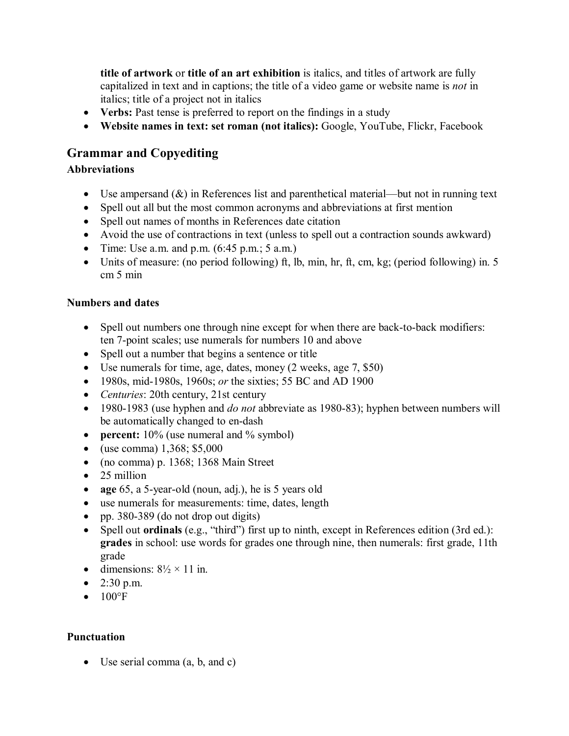**title of artwork** or **title of an art exhibition** is italics, and titles of artwork are fully capitalized in text and in captions; the title of a video game or website name is *not* in italics; title of a project not in italics

- Verbs: Past tense is preferred to report on the findings in a study
- **Website names in text: set roman (not italics):** Google, YouTube, Flickr, Facebook

# **Grammar and Copyediting**

## **Abbreviations**

- Use ampersand  $(\&)$  in References list and parenthetical material—but not in running text
- Spell out all but the most common acronyms and abbreviations at first mention
- Spell out names of months in References date citation
- Avoid the use of contractions in text (unless to spell out a contraction sounds awkward)
- Time: Use a.m. and p.m.  $(6:45 \text{ p.m.}; 5 \text{ a.m.})$
- Units of measure: (no period following) ft, lb, min, hr, ft, cm, kg; (period following) in. 5 cm 5 min

### **Numbers and dates**

- Spell out numbers one through nine except for when there are back-to-back modifiers: ten 7-point scales; use numerals for numbers 10 and above
- Spell out a number that begins a sentence or title
- Use numerals for time, age, dates, money (2 weeks, age 7, \$50)
- 1980s, mid-1980s, 1960s; *or* the sixties; 55 BC and AD 1900
- *Centuries*: 20th century, 21st century
- 1980-1983 (use hyphen and *do not* abbreviate as 1980-83); hyphen between numbers will be automatically changed to en-dash
- **percent:** 10% (use numeral and % symbol)
- (use comma)  $1,368;$  \$5,000
- (no comma) p. 1368; 1368 Main Street
- 25 million
- **age** 65, a 5-year-old (noun, adj.), he is 5 years old
- use numerals for measurements: time, dates, length
- pp. 380-389 (do not drop out digits)
- Spell out **ordinals** (e.g., "third") first up to ninth, except in References edition (3rd ed.): **grades** in school: use words for grades one through nine, then numerals: first grade, 11th grade
- dimensions:  $8\frac{1}{2} \times 11$  in.
- 2:30 p.m.
- $\bullet$  100°F

## **Punctuation**

• Use serial comma (a, b, and c)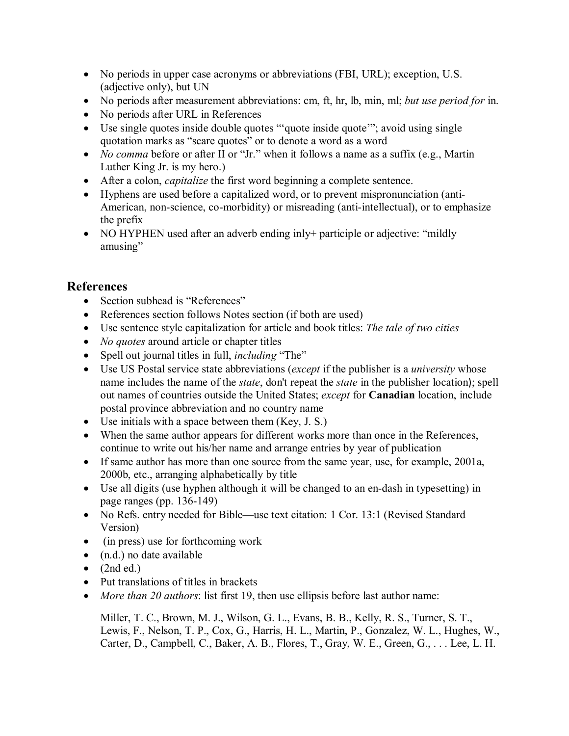- No periods in upper case acronyms or abbreviations (FBI, URL); exception, U.S. (adjective only), but UN
- No periods after measurement abbreviations: cm, ft, hr, lb, min, ml; *but use period for* in.
- No periods after URL in References
- Use single quotes inside double quotes "" quote inside quote"; avoid using single quotation marks as "scare quotes" or to denote a word as a word
- *No comma* before or after II or "Jr." when it follows a name as a suffix (e.g., Martin Luther King Jr. is my hero.)
- After a colon, *capitalize* the first word beginning a complete sentence.
- Hyphens are used before a capitalized word, or to prevent mispronunciation (anti-American, non-science, co-morbidity) or misreading (anti-intellectual), or to emphasize the prefix
- NO HYPHEN used after an adverb ending inly+ participle or adjective: "mildly amusing"

## **References**

- Section subhead is "References"
- References section follows Notes section (if both are used)
- Use sentence style capitalization for article and book titles: *The tale of two cities*
- *No quotes* around article or chapter titles
- Spell out journal titles in full, *including* "The"
- Use US Postal service state abbreviations (*except* if the publisher is a *university* whose name includes the name of the *state*, don't repeat the *state* in the publisher location); spell out names of countries outside the United States; *except* for **Canadian** location, include postal province abbreviation and no country name
- Use initials with a space between them (Key, J. S.)
- When the same author appears for different works more than once in the References, continue to write out his/her name and arrange entries by year of publication
- If same author has more than one source from the same year, use, for example, 2001a, 2000b, etc., arranging alphabetically by title
- Use all digits (use hyphen although it will be changed to an en-dash in typesetting) in page ranges (pp. 136-149)
- No Refs. entry needed for Bible—use text citation: 1 Cor. 13:1 (Revised Standard Version)
- (in press) use for forthcoming work
- (n.d.) no date available
- $\bullet$  (2nd ed.)
- Put translations of titles in brackets
- *More than 20 authors*: list first 19, then use ellipsis before last author name:

Miller, T. C., Brown, M. J., Wilson, G. L., Evans, B. B., Kelly, R. S., Turner, S. T., Lewis, F., Nelson, T. P., Cox, G., Harris, H. L., Martin, P., Gonzalez, W. L., Hughes, W., Carter, D., Campbell, C., Baker, A. B., Flores, T., Gray, W. E., Green, G., . . . Lee, L. H.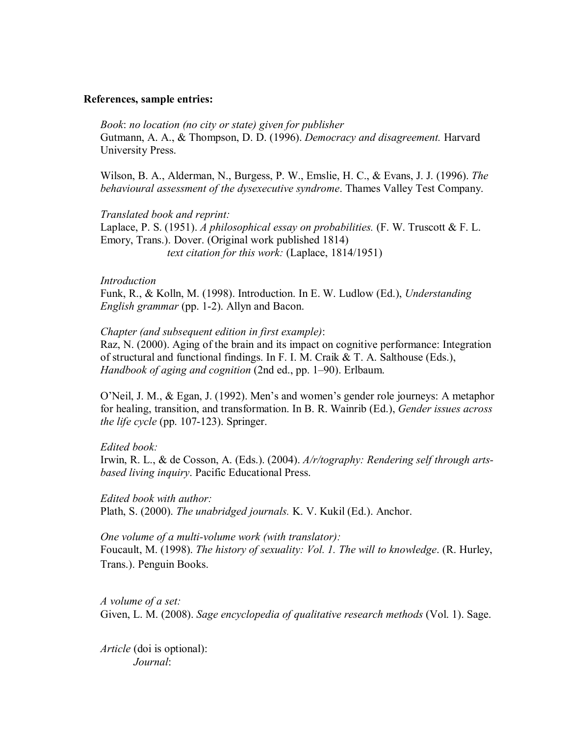### **References, sample entries:**

*Book*: *no location (no city or state) given for publisher* Gutmann, A. A., & Thompson, D. D. (1996). *Democracy and disagreement.* Harvard University Press.

Wilson, B. A., Alderman, N., Burgess, P. W., Emslie, H. C., & Evans, J. J. (1996). *The behavioural assessment of the dysexecutive syndrome*. Thames Valley Test Company.

*Translated book and reprint:* Laplace, P. S. (1951). *A philosophical essay on probabilities.* (F. W. Truscott & F. L. Emory, Trans.). Dover. (Original work published 1814) *text citation for this work:* (Laplace, 1814/1951)

#### *Introduction*

Funk, R., & Kolln, M. (1998). Introduction. In E. W. Ludlow (Ed.), *Understanding English grammar* (pp. 1-2). Allyn and Bacon.

#### *Chapter (and subsequent edition in first example)*:

Raz, N. (2000). Aging of the brain and its impact on cognitive performance: Integration of structural and functional findings. In F. I. M. Craik & T. A. Salthouse (Eds.), *Handbook of aging and cognition* (2nd ed., pp. 1–90). Erlbaum.

O'Neil, J. M., & Egan, J. (1992). Men's and women's gender role journeys: A metaphor for healing, transition, and transformation. In B. R. Wainrib (Ed.), *Gender issues across the life cycle* (pp. 107-123). Springer.

*Edited book:*

Irwin, R. L., & de Cosson, A. (Eds.). (2004). *A/r/tography: Rendering self through artsbased living inquiry*. Pacific Educational Press.

*Edited book with author:* Plath, S. (2000). *The unabridged journals.* K. V. Kukil (Ed.). Anchor.

*One volume of a multi-volume work (with translator):* Foucault, M. (1998). *The history of sexuality: Vol. 1. The will to knowledge*. (R. Hurley, Trans.). Penguin Books.

*A volume of a set:* Given, L. M. (2008). *Sage encyclopedia of qualitative research methods* (Vol. 1). Sage.

*Article* (doi is optional): *Journal*: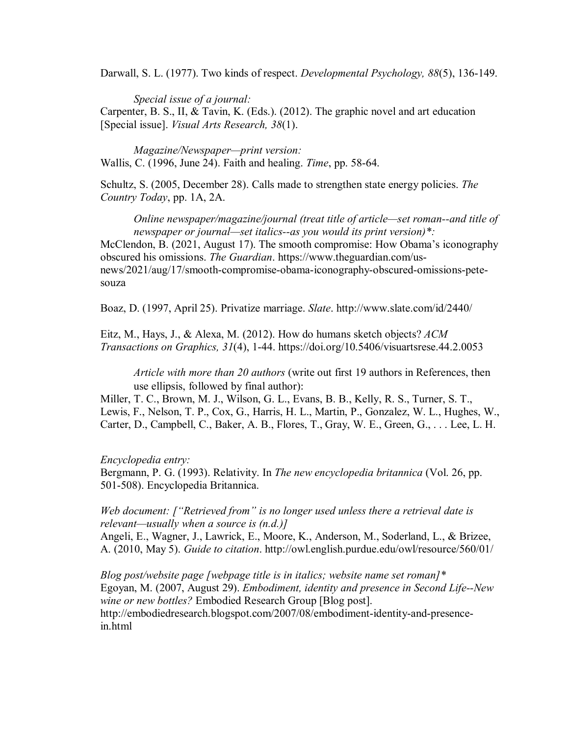Darwall, S. L. (1977). Two kinds of respect. *Developmental Psychology, 88*(5), 136-149.

*Special issue of a journal:* Carpenter, B. S., II, & Tavin, K. (Eds.). (2012). The graphic novel and art education [Special issue]. *Visual Arts Research, 38*(1).

*Magazine/Newspaper—print version:* Wallis, C. (1996, June 24). Faith and healing. *Time*, pp. 58-64.

Schultz, S. (2005, December 28). Calls made to strengthen state energy policies. *The Country Today*, pp. 1A, 2A.

*Online newspaper/magazine/journal (treat title of article—set roman--and title of newspaper or journal—set italics--as you would its print version)\*:* McClendon, B. (2021, August 17). The smooth compromise: How Obama's iconography obscured his omissions. *The Guardian*. https://www.theguardian.com/usnews/2021/aug/17/smooth-compromise-obama-iconography-obscured-omissions-petesouza

Boaz, D. (1997, April 25). Privatize marriage. *Slate*. http://www.slate.com/id/2440/

Eitz, M., Hays, J., & Alexa, M. (2012). How do humans sketch objects? *ACM Transactions on Graphics, 31*(4), 1-44. https://doi.org/10.5406/visuartsrese.44.2.0053

*Article with more than 20 authors* (write out first 19 authors in References, then use ellipsis, followed by final author):

Miller, T. C., Brown, M. J., Wilson, G. L., Evans, B. B., Kelly, R. S., Turner, S. T., Lewis, F., Nelson, T. P., Cox, G., Harris, H. L., Martin, P., Gonzalez, W. L., Hughes, W., Carter, D., Campbell, C., Baker, A. B., Flores, T., Gray, W. E., Green, G., . . . Lee, L. H.

*Encyclopedia entry:*

Bergmann, P. G. (1993). Relativity. In *The new encyclopedia britannica* (Vol. 26, pp. 501-508). Encyclopedia Britannica.

*Web document: ["Retrieved from" is no longer used unless there a retrieval date is relevant—usually when a source is (n.d.)]*

Angeli, E., Wagner, J., Lawrick, E., Moore, K., Anderson, M., Soderland, L., & Brizee, A. (2010, May 5). *Guide to citation*. http://owl.english.purdue.edu/owl/resource/560/01/

*Blog post/website page [webpage title is in italics; website name set roman]\** Egoyan, M. (2007, August 29). *Embodiment, identity and presence in Second Life--New wine or new bottles?* Embodied Research Group [Blog post]. http://embodiedresearch.blogspot.com/2007/08/embodiment-identity-and-presencein.html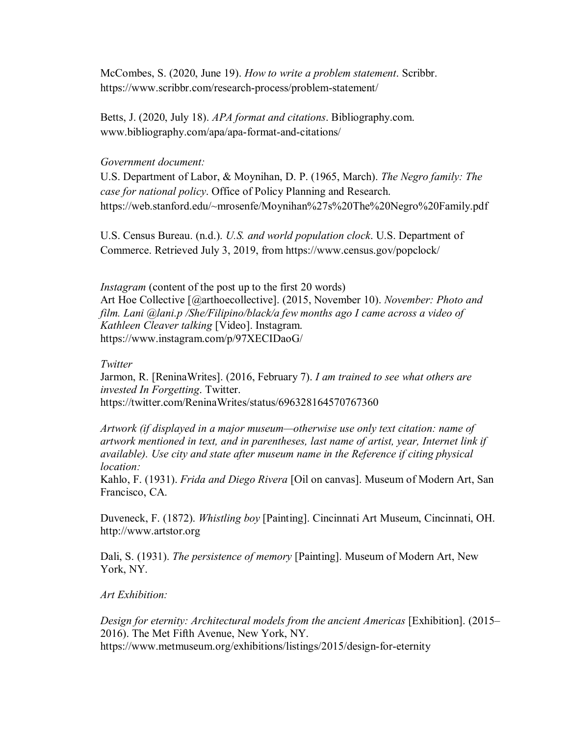McCombes, S. (2020, June 19). *How to write a problem statement*. Scribbr. https://www.scribbr.com/research-process/problem-statement/

Betts, J. (2020, July 18). *APA format and citations*. Bibliography.com. www.bibliography.com/apa/apa-format-and-citations/

### *Government document:*

U.S. Department of Labor, & Moynihan, D. P. (1965, March). *The Negro family: The case for national policy*. Office of Policy Planning and Research. https://web.stanford.edu/~mrosenfe/Moynihan%27s%20The%20Negro%20Family.pdf

U.S. Census Bureau. (n.d.). *U.S. and world population clock*. U.S. Department of Commerce. Retrieved July 3, 2019, from https://www.census.gov/popclock/

*Instagram* (content of the post up to the first 20 words) Art Hoe Collective [@arthoecollective]. (2015, November 10). *November: Photo and film. Lani @lani.p /She/Filipino/black/a few months ago I came across a video of Kathleen Cleaver talking* [Video]. Instagram. https://www.instagram.com/p/97XECIDaoG/

#### *Twitter*

Jarmon, R. [ReninaWrites]. (2016, February 7). *I am trained to see what others are invested In Forgetting*. Twitter. https://twitter.com/ReninaWrites/status/696328164570767360

*Artwork (if displayed in a major museum—otherwise use only text citation: name of artwork mentioned in text, and in parentheses, last name of artist, year, Internet link if available). Use city and state after museum name in the Reference if citing physical location:*

Kahlo, F. (1931). *Frida and Diego Rivera* [Oil on canvas]. Museum of Modern Art, San Francisco, CA.

Duveneck, F. (1872). *Whistling boy* [Painting]. Cincinnati Art Museum, Cincinnati, OH. http://www.artstor.org

Dali, S. (1931). *The persistence of memory* [Painting]. Museum of Modern Art, New York, NY.

### *Art Exhibition:*

*Design for eternity: Architectural models from the ancient Americas* [Exhibition]. (2015– 2016). The Met Fifth Avenue, New York, NY. https://www.metmuseum.org/exhibitions/listings/2015/design-for-eternity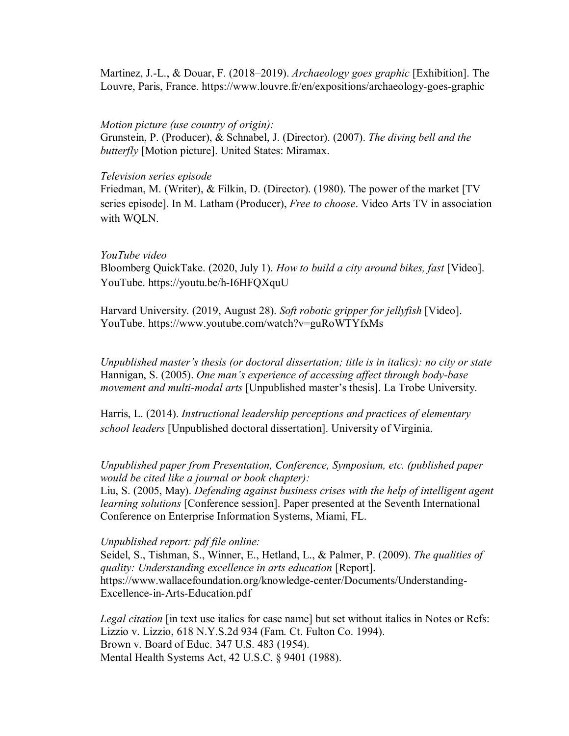Martinez, J.-L., & Douar, F. (2018–2019). *Archaeology goes graphic* [Exhibition]. The Louvre, Paris, France. https://www.louvre.fr/en/expositions/archaeology-goes-graphic

#### *Motion picture (use country of origin):*

Grunstein, P. (Producer), & Schnabel, J. (Director). (2007). *The diving bell and the butterfly* [Motion picture]. United States: Miramax.

#### *Television series episode*

Friedman, M. (Writer), & Filkin, D. (Director). (1980). The power of the market [TV series episode]. In M. Latham (Producer), *Free to choose*. Video Arts TV in association with WQLN.

### *YouTube video*

Bloomberg QuickTake. (2020, July 1). *How to build a city around bikes, fast* [Video]. YouTube. https://youtu.be/h-I6HFQXquU

Harvard University. (2019, August 28). *Soft robotic gripper for jellyfish* [Video]. YouTube. https://www.youtube.com/watch?v=guRoWTYfxMs

*Unpublished master's thesis (or doctoral dissertation; title is in italics): no city or state* Hannigan, S. (2005). *One man's experience of accessing affect through body-base movement and multi-modal arts* [Unpublished master's thesis]. La Trobe University.

Harris, L. (2014). *Instructional leadership perceptions and practices of elementary school leaders* [Unpublished doctoral dissertation]. University of Virginia.

*Unpublished paper from Presentation, Conference, Symposium, etc. (published paper would be cited like a journal or book chapter):*

Liu, S. (2005, May). *Defending against business crises with the help of intelligent agent learning solutions* [Conference session]. Paper presented at the Seventh International Conference on Enterprise Information Systems, Miami, FL.

### *Unpublished report: pdf file online:*

Seidel, S., Tishman, S., Winner, E., Hetland, L., & Palmer, P. (2009). *The qualities of quality: Understanding excellence in arts education* [Report]. https://www.wallacefoundation.org/knowledge-center/Documents/Understanding-Excellence-in-Arts-Education.pdf

*Legal citation* [in text use italics for case name] but set without italics in Notes or Refs: Lizzio v. Lizzio, 618 N.Y.S.2d 934 (Fam. Ct. Fulton Co. 1994). Brown v. Board of Educ. 347 U.S. 483 (1954). Mental Health Systems Act, 42 U.S.C. § 9401 (1988).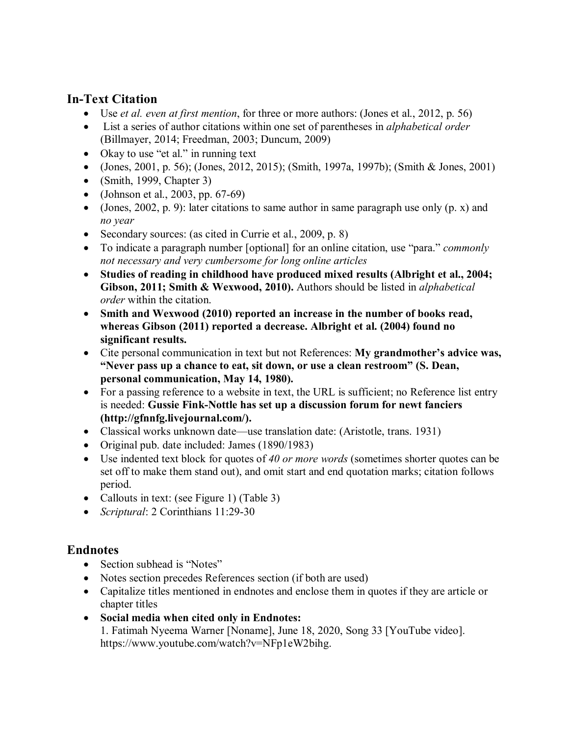# **In-Text Citation**

- Use *et al. even at first mention*, for three or more authors: (Jones et al., 2012, p. 56)
- List a series of author citations within one set of parentheses in *alphabetical order* (Billmayer, 2014; Freedman, 2003; Duncum, 2009)
- Okay to use "et al." in running text
- (Jones, 2001, p. 56); (Jones, 2012, 2015); (Smith, 1997a, 1997b); (Smith & Jones, 2001)
- (Smith, 1999, Chapter 3)
- (Johnson et al., 2003, pp.  $67-69$ )
- (Jones, 2002, p. 9): later citations to same author in same paragraph use only  $(p, x)$  and *no year*
- Secondary sources: (as cited in Currie et al., 2009, p. 8)
- To indicate a paragraph number [optional] for an online citation, use "para." *commonly not necessary and very cumbersome for long online articles*
- **Studies of reading in childhood have produced mixed results (Albright et al., 2004; Gibson, 2011; Smith & Wexwood, 2010).** Authors should be listed in *alphabetical order* within the citation.
- **Smith and Wexwood (2010) reported an increase in the number of books read, whereas Gibson (2011) reported a decrease. Albright et al. (2004) found no significant results.**
- Cite personal communication in text but not References: **My grandmother's advice was, "Never pass up a chance to eat, sit down, or use a clean restroom" (S. Dean, personal communication, May 14, 1980).**
- For a passing reference to a website in text, the URL is sufficient; no Reference list entry is needed: **Gussie Fink-Nottle has set up a discussion forum for newt fanciers (http://gfnnfg.livejournal.com/).**
- Classical works unknown date—use translation date: (Aristotle, trans. 1931)
- Original pub. date included: James (1890/1983)
- Use indented text block for quotes of *40 or more words* (sometimes shorter quotes can be set off to make them stand out), and omit start and end quotation marks; citation follows period.
- Callouts in text: (see Figure 1) (Table 3)
- *Scriptural*: 2 Corinthians 11:29-30

# **Endnotes**

- Section subhead is "Notes"
- Notes section precedes References section (if both are used)
- Capitalize titles mentioned in endnotes and enclose them in quotes if they are article or chapter titles
- **Social media when cited only in Endnotes:** 1. Fatimah Nyeema Warner [Noname], June 18, 2020, Song 33 [YouTube video]. https://www.youtube.com/watch?v=NFp1eW2bihg.